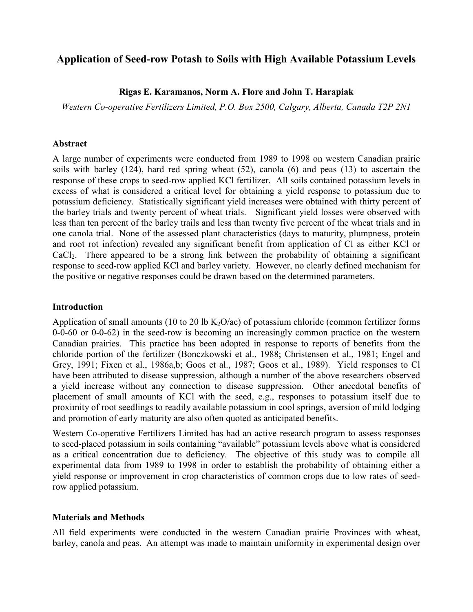# **Application of Seed-row Potash to Soils with High Available Potassium Levels**

# **Rigas E. Karamanos, Norm A. Flore and John T. Harapiak**

*Western Co-operative Fertilizers Limited, P.O. Box 2500, Calgary, Alberta, Canada T2P 2N1*

## **Abstract**

A large number of experiments were conducted from 1989 to 1998 on western Canadian prairie soils with barley (124), hard red spring wheat (52), canola (6) and peas (13) to ascertain the response of these crops to seed-row applied KCl fertilizer. All soils contained potassium levels in excess of what is considered a critical level for obtaining a yield response to potassium due to potassium deficiency. Statistically significant yield increases were obtained with thirty percent of the barley trials and twenty percent of wheat trials. Significant yield losses were observed with less than ten percent of the barley trails and less than twenty five percent of the wheat trials and in one canola trial. None of the assessed plant characteristics (days to maturity, plumpness, protein and root rot infection) revealed any significant benefit from application of Cl as either KCl or CaCl2. There appeared to be a strong link between the probability of obtaining a significant response to seed-row applied KCl and barley variety. However, no clearly defined mechanism for the positive or negative responses could be drawn based on the determined parameters.

# **Introduction**

Application of small amounts (10 to 20 lb  $K_2O/ac$ ) of potassium chloride (common fertilizer forms 0-0-60 or 0-0-62) in the seed-row is becoming an increasingly common practice on the western Canadian prairies. This practice has been adopted in response to reports of benefits from the chloride portion of the fertilizer (Bonczkowski et al., 1988; Christensen et al., 1981; Engel and Grey, 1991; Fixen et al., 1986a,b; Goos et al., 1987; Goos et al., 1989). Yield responses to Cl have been attributed to disease suppression, although a number of the above researchers observed a yield increase without any connection to disease suppression. Other anecdotal benefits of placement of small amounts of KCl with the seed, e.g., responses to potassium itself due to proximity of root seedlings to readily available potassium in cool springs, aversion of mild lodging and promotion of early maturity are also often quoted as anticipated benefits.

Western Co-operative Fertilizers Limited has had an active research program to assess responses to seed-placed potassium in soils containing "available" potassium levels above what is considered as a critical concentration due to deficiency. The objective of this study was to compile all experimental data from 1989 to 1998 in order to establish the probability of obtaining either a yield response or improvement in crop characteristics of common crops due to low rates of seedrow applied potassium.

# **Materials and Methods**

All field experiments were conducted in the western Canadian prairie Provinces with wheat, barley, canola and peas. An attempt was made to maintain uniformity in experimental design over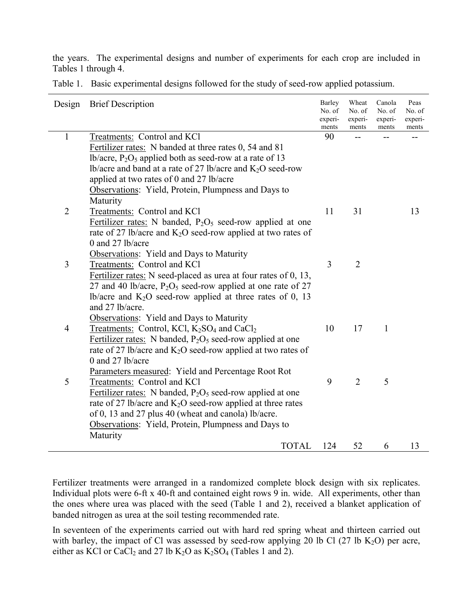the years. The experimental designs and number of experiments for each crop are included in Tables 1 through 4.

|                | Design Brief Description                                                           | <b>Barley</b><br>No. of<br>experi-<br>ments | Wheat<br>No. of<br>experi-<br>ments | Canola<br>No. of<br>experi-<br>ments | Peas<br>No. of<br>experi-<br>ments |
|----------------|------------------------------------------------------------------------------------|---------------------------------------------|-------------------------------------|--------------------------------------|------------------------------------|
| $\mathbf{1}$   | Treatments: Control and KCl                                                        | 90                                          |                                     |                                      |                                    |
|                | Fertilizer rates: N banded at three rates 0, 54 and 81                             |                                             |                                     |                                      |                                    |
|                | lb/acre, $P_2O_5$ applied both as seed-row at a rate of 13                         |                                             |                                     |                                      |                                    |
|                | lb/acre and band at a rate of 27 lb/acre and $K_2O$ seed-row                       |                                             |                                     |                                      |                                    |
|                | applied at two rates of 0 and 27 lb/acre                                           |                                             |                                     |                                      |                                    |
|                | Observations: Yield, Protein, Plumpness and Days to                                |                                             |                                     |                                      |                                    |
|                | Maturity                                                                           |                                             |                                     |                                      |                                    |
| $\overline{2}$ | Treatments: Control and KCl                                                        | 11                                          | 31                                  |                                      | 13                                 |
|                | Fertilizer rates: N banded, $P_2O_5$ seed-row applied at one                       |                                             |                                     |                                      |                                    |
|                | rate of 27 lb/acre and $K_2O$ seed-row applied at two rates of                     |                                             |                                     |                                      |                                    |
|                | 0 and 27 lb/acre                                                                   |                                             |                                     |                                      |                                    |
|                | Observations: Yield and Days to Maturity                                           |                                             |                                     |                                      |                                    |
| 3              | Treatments: Control and KCl                                                        | 3                                           | $\overline{2}$                      |                                      |                                    |
|                | Fertilizer rates: N seed-placed as urea at four rates of 0, 13,                    |                                             |                                     |                                      |                                    |
|                | 27 and 40 lb/acre, $P_2O_5$ seed-row applied at one rate of 27                     |                                             |                                     |                                      |                                    |
|                | lb/acre and $K_2O$ seed-row applied at three rates of 0, 13                        |                                             |                                     |                                      |                                    |
|                | and 27 lb/acre.                                                                    |                                             |                                     |                                      |                                    |
|                | Observations: Yield and Days to Maturity                                           |                                             |                                     |                                      |                                    |
| $\overline{4}$ | Treatments: Control, KCl, K <sub>2</sub> SO <sub>4</sub> and CaCl <sub>2</sub>     | 10                                          | 17                                  | $\mathbf{1}$                         |                                    |
|                | Fertilizer rates: N banded, $P_2O_5$ seed-row applied at one                       |                                             |                                     |                                      |                                    |
|                | rate of 27 lb/acre and $K_2O$ seed-row applied at two rates of<br>0 and 27 lb/acre |                                             |                                     |                                      |                                    |
|                | Parameters measured: Yield and Percentage Root Rot                                 |                                             |                                     |                                      |                                    |
| 5              | Treatments: Control and KCl                                                        | 9                                           | $\overline{2}$                      | 5                                    |                                    |
|                | Fertilizer rates: N banded, $P_2O_5$ seed-row applied at one                       |                                             |                                     |                                      |                                    |
|                | rate of 27 lb/acre and $K_2O$ seed-row applied at three rates                      |                                             |                                     |                                      |                                    |
|                | of 0, 13 and 27 plus 40 (wheat and canola) lb/acre.                                |                                             |                                     |                                      |                                    |
|                | Observations: Yield, Protein, Plumpness and Days to                                |                                             |                                     |                                      |                                    |
|                | Maturity                                                                           |                                             |                                     |                                      |                                    |
|                | <b>TOTAL</b>                                                                       | 124                                         | 52                                  | 6                                    | 13                                 |

Table 1. Basic experimental designs followed for the study of seed-row applied potassium.

Fertilizer treatments were arranged in a randomized complete block design with six replicates. Individual plots were 6-ft x 40-ft and contained eight rows 9 in. wide. All experiments, other than the ones where urea was placed with the seed (Table 1 and 2), received a blanket application of banded nitrogen as urea at the soil testing recommended rate.

In seventeen of the experiments carried out with hard red spring wheat and thirteen carried out with barley, the impact of Cl was assessed by seed-row applying 20 lb Cl (27 lb K<sub>2</sub>O) per acre, either as KCl or CaCl<sub>2</sub> and 27 lb K<sub>2</sub>O as K<sub>2</sub>SO<sub>4</sub> (Tables 1 and 2).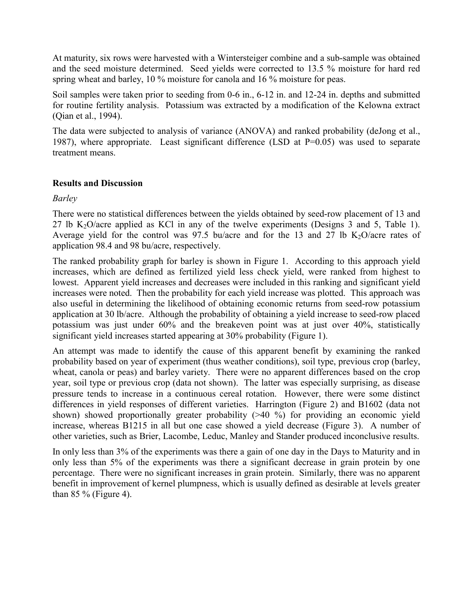At maturity, six rows were harvested with a Wintersteiger combine and a sub-sample was obtained and the seed moisture determined. Seed yields were corrected to 13.5 % moisture for hard red spring wheat and barley, 10 % moisture for canola and 16 % moisture for peas.

Soil samples were taken prior to seeding from 0-6 in., 6-12 in. and 12-24 in. depths and submitted for routine fertility analysis. Potassium was extracted by a modification of the Kelowna extract (Qian et al., 1994).

The data were subjected to analysis of variance (ANOVA) and ranked probability (deJong et al., 1987), where appropriate. Least significant difference (LSD at P=0.05) was used to separate treatment means.

# **Results and Discussion**

*Barley*

There were no statistical differences between the yields obtained by seed-row placement of 13 and 27 lb  $K_2O$ /acre applied as KCl in any of the twelve experiments (Designs 3 and 5, Table 1). Average yield for the control was 97.5 bu/acre and for the 13 and 27 lb  $K_2O$ /acre rates of application 98.4 and 98 bu/acre, respectively.

The ranked probability graph for barley is shown in Figure 1. According to this approach yield increases, which are defined as fertilized yield less check yield, were ranked from highest to lowest. Apparent yield increases and decreases were included in this ranking and significant yield increases were noted. Then the probability for each yield increase was plotted. This approach was also useful in determining the likelihood of obtaining economic returns from seed-row potassium application at 30 lb/acre. Although the probability of obtaining a yield increase to seed-row placed potassium was just under 60% and the breakeven point was at just over 40%, statistically significant yield increases started appearing at 30% probability (Figure 1).

An attempt was made to identify the cause of this apparent benefit by examining the ranked probability based on year of experiment (thus weather conditions), soil type, previous crop (barley, wheat, canola or peas) and barley variety. There were no apparent differences based on the crop year, soil type or previous crop (data not shown). The latter was especially surprising, as disease pressure tends to increase in a continuous cereal rotation. However, there were some distinct differences in yield responses of different varieties. Harrington (Figure 2) and B1602 (data not shown) showed proportionally greater probability (>40 %) for providing an economic yield increase, whereas B1215 in all but one case showed a yield decrease (Figure 3). A number of other varieties, such as Brier, Lacombe, Leduc, Manley and Stander produced inconclusive results.

In only less than 3% of the experiments was there a gain of one day in the Days to Maturity and in only less than 5% of the experiments was there a significant decrease in grain protein by one percentage. There were no significant increases in grain protein. Similarly, there was no apparent benefit in improvement of kernel plumpness, which is usually defined as desirable at levels greater than  $85\%$  (Figure 4).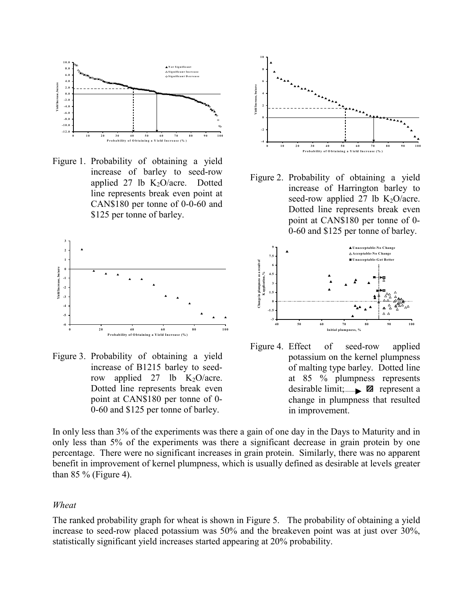

Figure 1. Probability of obtaining a yield increase of barley to seed-row applied 27 lb  $K_2O/acre$ . Dotted line represents break even point at CAN\$180 per tonne of 0-0-60 and \$125 per tonne of barley.



Figure 3. Probability of obtaining a yield increase of B1215 barley to seedrow applied 27 lb  $K_2O/\text{acre}$ . Dotted line represents break even point at CAN\$180 per tonne of 0- 0-60 and \$125 per tonne of barley.



Figure 2. Probability of obtaining a yield increase of Harrington barley to seed-row applied 27 lb  $K_2O/(\text{acc})$ . Dotted line represents break even point at CAN\$180 per tonne of 0- 0-60 and \$125 per tonne of barley.



Figure 4. Effect of seed-row applied potassium on the kernel plumpness of malting type barley. Dotted line at 85 % plumpness represents desirable limit;  $\blacksquare$  represent a change in plumpness that resulted in improvement.

In only less than 3% of the experiments was there a gain of one day in the Days to Maturity and in only less than 5% of the experiments was there a significant decrease in grain protein by one percentage. There were no significant increases in grain protein. Similarly, there was no apparent benefit in improvement of kernel plumpness, which is usually defined as desirable at levels greater than  $85\%$  (Figure 4).

#### *Wheat*

The ranked probability graph for wheat is shown in Figure 5. The probability of obtaining a yield increase to seed-row placed potassium was 50% and the breakeven point was at just over 30%, statistically significant yield increases started appearing at 20% probability.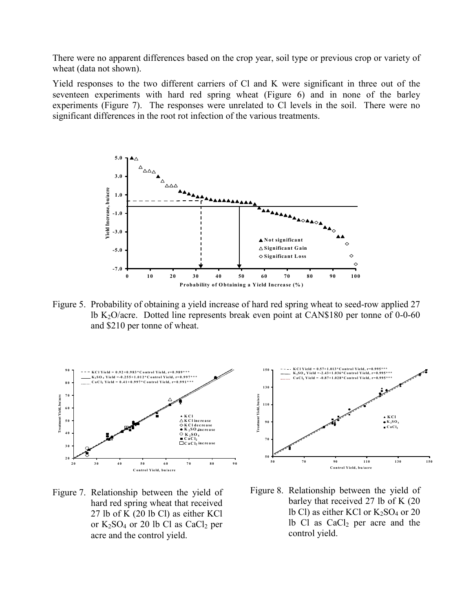There were no apparent differences based on the crop year, soil type or previous crop or variety of wheat (data not shown).

Yield responses to the two different carriers of Cl and K were significant in three out of the seventeen experiments with hard red spring wheat (Figure 6) and in none of the barley experiments (Figure 7). The responses were unrelated to Cl levels in the soil. There were no significant differences in the root rot infection of the various treatments.



Figure 5. Probability of obtaining a yield increase of hard red spring wheat to seed-row applied 27 lb K<sub>2</sub>O/acre. Dotted line represents break even point at CAN\$180 per tonne of 0-0-60 and \$210 per tonne of wheat.



Figure 7. Relationship between the yield of hard red spring wheat that received 27 lb of K (20 lb Cl) as either KCl or  $K_2SO_4$  or 20 lb Cl as  $CaCl_2$  per acre and the control yield.



Figure 8. Relationship between the yield of barley that received 27 lb of K (20 lb Cl) as either KCl or  $K_2SO_4$  or 20 lb Cl as  $CaCl<sub>2</sub>$  per acre and the control yield.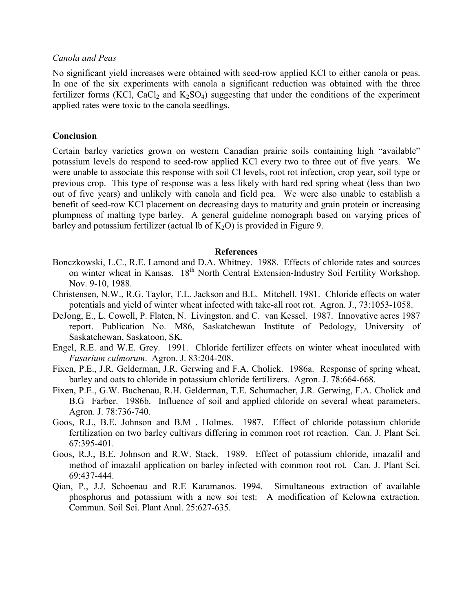### *Canola and Peas*

No significant yield increases were obtained with seed-row applied KCl to either canola or peas. In one of the six experiments with canola a significant reduction was obtained with the three fertilizer forms (KCl, CaCl<sub>2</sub> and K<sub>2</sub>SO<sub>4</sub>) suggesting that under the conditions of the experiment applied rates were toxic to the canola seedlings.

## **Conclusion**

Certain barley varieties grown on western Canadian prairie soils containing high "available" potassium levels do respond to seed-row applied KCl every two to three out of five years. We were unable to associate this response with soil Cl levels, root rot infection, crop year, soil type or previous crop. This type of response was a less likely with hard red spring wheat (less than two out of five years) and unlikely with canola and field pea. We were also unable to establish a benefit of seed-row KCl placement on decreasing days to maturity and grain protein or increasing plumpness of malting type barley. A general guideline nomograph based on varying prices of barley and potassium fertilizer (actual lb of  $K_2O$ ) is provided in Figure 9.

### **References**

- Bonczkowski, L.C., R.E. Lamond and D.A. Whitney. 1988. Effects of chloride rates and sources on winter wheat in Kansas. 18<sup>th</sup> North Central Extension-Industry Soil Fertility Workshop. Nov. 9-10, 1988.
- Christensen, N.W., R.G. Taylor, T.L. Jackson and B.L. Mitchell. 1981. Chloride effects on water potentials and yield of winter wheat infected with take-all root rot. Agron. J., 73:1053-1058.
- DeJong, E., L. Cowell, P. Flaten, N. Livingston. and C. van Kessel. 1987. Innovative acres 1987 report. Publication No. M86, Saskatchewan Institute of Pedology, University of Saskatchewan, Saskatoon, SK.
- Engel, R.E. and W.E. Grey. 1991. Chloride fertilizer effects on winter wheat inoculated with *Fusarium culmorum*. Agron. J. 83:204-208.
- Fixen, P.E., J.R. Gelderman, J.R. Gerwing and F.A. Cholick. 1986a. Response of spring wheat, barley and oats to chloride in potassium chloride fertilizers. Agron. J. 78:664-668.
- Fixen, P.E., G.W. Buchenau, R.H. Gelderman, T.E. Schumacher, J.R. Gerwing, F.A. Cholick and B.G Farber. 1986b. Influence of soil and applied chloride on several wheat parameters. Agron. J. 78:736-740.
- Goos, R.J., B.E. Johnson and B.M . Holmes. 1987. Effect of chloride potassium chloride fertilization on two barley cultivars differing in common root rot reaction. Can. J. Plant Sci. 67:395-401.
- Goos, R.J., B.E. Johnson and R.W. Stack. 1989. Effect of potassium chloride, imazalil and method of imazalil application on barley infected with common root rot. Can. J. Plant Sci. 69:437-444.
- Qian, P., J.J. Schoenau and R.E Karamanos. 1994. Simultaneous extraction of available phosphorus and potassium with a new soi test: A modification of Kelowna extraction. Commun. Soil Sci. Plant Anal. 25:627-635.